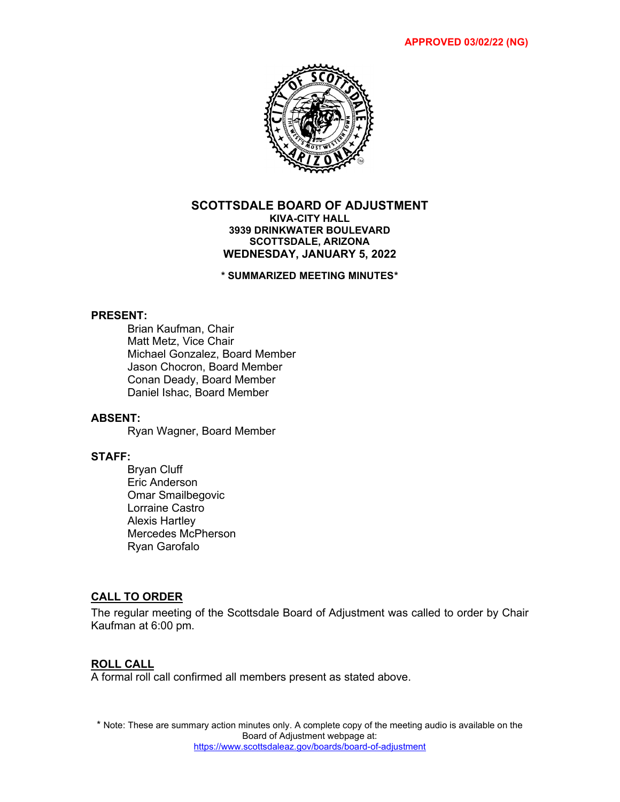

### **SCOTTSDALE BOARD OF ADJUSTMENT KIVA-CITY HALL 3939 DRINKWATER BOULEVARD SCOTTSDALE, ARIZONA WEDNESDAY, JANUARY 5, 2022**

**\* SUMMARIZED MEETING MINUTES\***

### **PRESENT:**

Brian Kaufman, Chair Matt Metz, Vice Chair Michael Gonzalez, Board Member Jason Chocron, Board Member Conan Deady, Board Member Daniel Ishac, Board Member

### **ABSENT:**

Ryan Wagner, Board Member

# **STAFF:**

Bryan Cluff Eric Anderson Omar Smailbegovic Lorraine Castro Alexis Hartley Mercedes McPherson Ryan Garofalo

### **CALL TO ORDER**

The regular meeting of the Scottsdale Board of Adjustment was called to order by Chair Kaufman at 6:00 pm.

### **ROLL CALL**

A formal roll call confirmed all members present as stated above.

\* Note: These are summary action minutes only. A complete copy of the meeting audio is available on the Board of Adjustment webpage at: <https://www.scottsdaleaz.gov/boards/board-of-adjustment>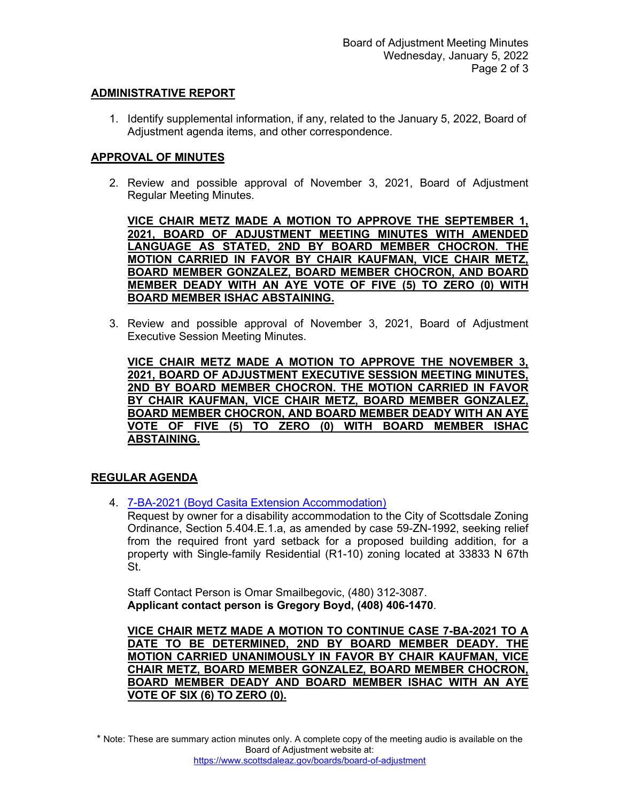## **ADMINISTRATIVE REPORT**

1. Identify supplemental information, if any, related to the January 5, 2022, Board of Adjustment agenda items, and other correspondence.

## **APPROVAL OF MINUTES**

2. Review and possible approval of November 3, 2021, Board of Adjustment Regular Meeting Minutes.

**VICE CHAIR METZ MADE A MOTION TO APPROVE THE SEPTEMBER 1, 2021, BOARD OF ADJUSTMENT MEETING MINUTES WITH AMENDED LANGUAGE AS STATED, 2ND BY BOARD MEMBER CHOCRON. THE MOTION CARRIED IN FAVOR BY CHAIR KAUFMAN, VICE CHAIR METZ, BOARD MEMBER GONZALEZ, BOARD MEMBER CHOCRON, AND BOARD MEMBER DEADY WITH AN AYE VOTE OF FIVE (5) TO ZERO (0) WITH BOARD MEMBER ISHAC ABSTAINING.** 

3. Review and possible approval of November 3, 2021, Board of Adjustment Executive Session Meeting Minutes.

**VICE CHAIR METZ MADE A MOTION TO APPROVE THE NOVEMBER 3, 2021, BOARD OF ADJUSTMENT EXECUTIVE SESSION MEETING MINUTES, 2ND BY BOARD MEMBER CHOCRON. THE MOTION CARRIED IN FAVOR BY CHAIR KAUFMAN, VICE CHAIR METZ, BOARD MEMBER GONZALEZ, BOARD MEMBER CHOCRON, AND BOARD MEMBER DEADY WITH AN AYE VOTE OF FIVE (5) TO ZERO (0) WITH BOARD MEMBER ISHAC ABSTAINING.** 

### **REGULAR AGENDA**

4. [7-BA-2021 \(Boyd Casita Extension Accommodation\)](https://eservices.scottsdaleaz.gov/planning/projectsummary/ba_reports/BA_7_BA_2021.pdf)

Request by owner for a disability accommodation to the City of Scottsdale Zoning Ordinance, Section 5.404.E.1.a, as amended by case 59-ZN-1992, seeking relief from the required front yard setback for a proposed building addition, for a property with Single-family Residential (R1-10) zoning located at 33833 N 67th St.

Staff Contact Person is Omar Smailbegovic, (480) 312-3087. **Applicant contact person is Gregory Boyd, (408) 406-1470**.

**VICE CHAIR METZ MADE A MOTION TO CONTINUE CASE 7-BA-2021 TO A DATE TO BE DETERMINED, 2ND BY BOARD MEMBER DEADY. THE MOTION CARRIED UNANIMOUSLY IN FAVOR BY CHAIR KAUFMAN, VICE CHAIR METZ, BOARD MEMBER GONZALEZ, BOARD MEMBER CHOCRON, BOARD MEMBER DEADY AND BOARD MEMBER ISHAC WITH AN AYE VOTE OF SIX (6) TO ZERO (0).**